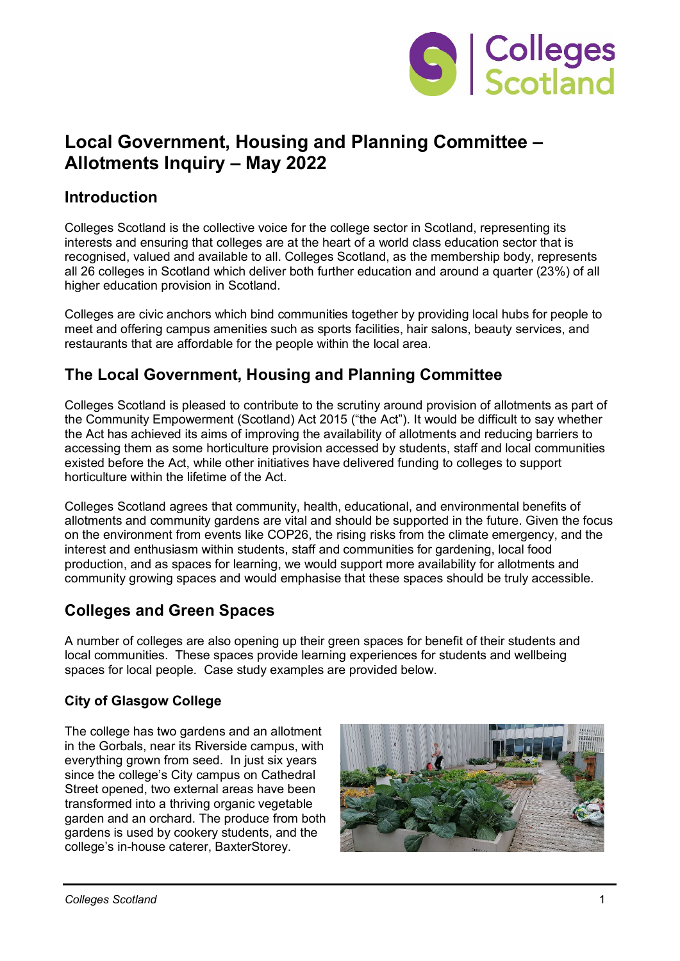

# **Local Government, Housing and Planning Committee – Allotments Inquiry – May 2022**

### **Introduction**

Colleges Scotland is the collective voice for the college sector in Scotland, representing its interests and ensuring that colleges are at the heart of a world class education sector that is recognised, valued and available to all. Colleges Scotland, as the membership body, represents all 26 colleges in Scotland which deliver both further education and around a quarter (23%) of all higher education provision in Scotland.

Colleges are civic anchors which bind communities together by providing local hubs for people to meet and offering campus amenities such as sports facilities, hair salons, beauty services, and restaurants that are affordable for the people within the local area.

## **The Local Government, Housing and Planning Committee**

Colleges Scotland is pleased to contribute to the scrutiny around provision of allotments as part of the Community Empowerment (Scotland) Act 2015 ("the Act"). It would be difficult to say whether the Act has achieved its aims of improving the availability of allotments and reducing barriers to accessing them as some horticulture provision accessed by students, staff and local communities existed before the Act, while other initiatives have delivered funding to colleges to support horticulture within the lifetime of the Act.

Colleges Scotland agrees that community, health, educational, and environmental benefits of allotments and community gardens are vital and should be supported in the future. Given the focus on the environment from events like COP26, the rising risks from the climate emergency, and the interest and enthusiasm within students, staff and communities for gardening, local food production, and as spaces for learning, we would support more availability for allotments and community growing spaces and would emphasise that these spaces should be truly accessible.

### **Colleges and Green Spaces**

A number of colleges are also opening up their green spaces for benefit of their students and local communities. These spaces provide learning experiences for students and wellbeing spaces for local people. Case study examples are provided below.

#### **City of Glasgow College**

The college has two gardens and an allotment in the Gorbals, near its Riverside campus, with everything grown from seed. In just six years since the college's City campus on Cathedral Street opened, two external areas have been transformed into a thriving organic vegetable garden and an orchard. The produce from both gardens is used by cookery students, and the college's in-house caterer, BaxterStorey.

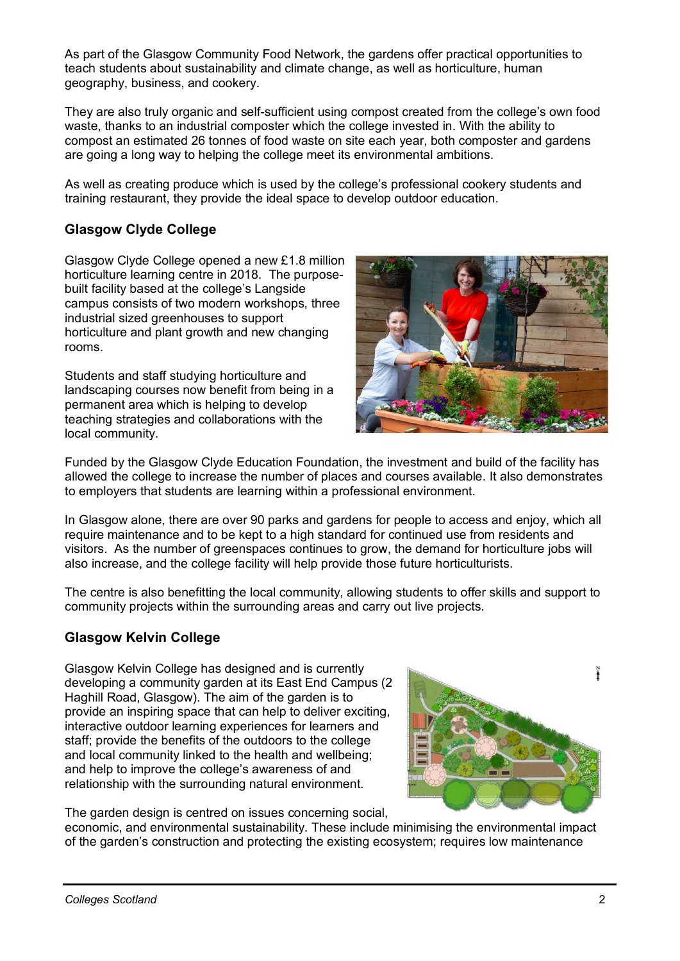As part of the Glasgow Community Food Network, the gardens offer practical opportunities to teach students about sustainability and climate change, as well as horticulture, human geography, business, and cookery.

They are also truly organic and self-sufficient using compost created from the college's own food waste, thanks to an industrial composter which the college invested in. With the ability to compost an estimated 26 tonnes of food waste on site each year, both composter and gardens are going a long way to helping the college meet its environmental ambitions.

As well as creating produce which is used by the college's professional cookery students and training restaurant, they provide the ideal space to develop outdoor education.

### **Glasgow Clyde College**

Glasgow Clyde College opened a new £1.8 million horticulture learning centre in 2018. The purposebuilt facility based at the college's Langside campus consists of two modern workshops, three industrial sized greenhouses to support horticulture and plant growth and new changing rooms.

Students and staff studying horticulture and landscaping courses now benefit from being in a permanent area which is helping to develop teaching strategies and collaborations with the local community.



Funded by the Glasgow Clyde Education Foundation, the investment and build of the facility has allowed the college to increase the number of places and courses available. It also demonstrates to employers that students are learning within a professional environment.

In Glasgow alone, there are over 90 parks and gardens for people to access and enjoy, which all require maintenance and to be kept to a high standard for continued use from residents and visitors. As the number of greenspaces continues to grow, the demand for horticulture jobs will also increase, and the college facility will help provide those future horticulturists.

The centre is also benefitting the local community, allowing students to offer skills and support to community projects within the surrounding areas and carry out live projects.

#### **Glasgow Kelvin College**

Glasgow Kelvin College has designed and is currently developing a community garden at its East End Campus (2 Haghill Road, Glasgow). The aim of the garden is to provide an inspiring space that can help to deliver exciting, interactive outdoor learning experiences for learners and staff; provide the benefits of the outdoors to the college and local community linked to the health and wellbeing; and help to improve the college's awareness of and relationship with the surrounding natural environment.



The garden design is centred on issues concerning social,

economic, and environmental sustainability. These include minimising the environmental impact of the garden's construction and protecting the existing ecosystem; requires low maintenance